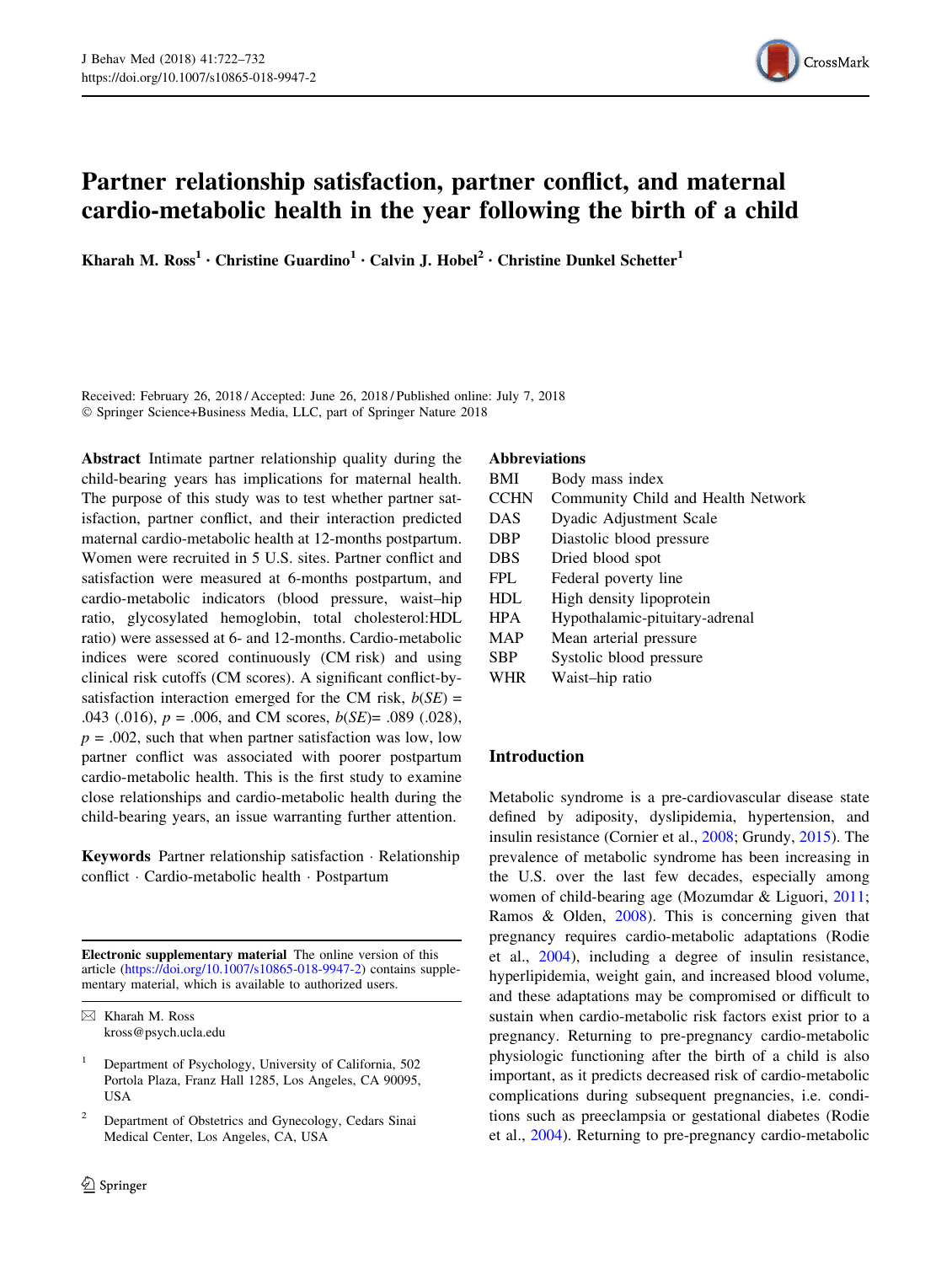

# Partner relationship satisfaction, partner conflict, and maternal cardio-metabolic health in the year following the birth of a child

Kharah M. Ross<sup>1</sup> • Christine Guardino<sup>1</sup> • Calvin J. Hobel<sup>2</sup> • Christine Dunkel Schetter<sup>1</sup>

Received: February 26, 2018 / Accepted: June 26, 2018 / Published online: July 7, 2018 - Springer Science+Business Media, LLC, part of Springer Nature 2018

Abstract Intimate partner relationship quality during the child-bearing years has implications for maternal health. The purpose of this study was to test whether partner satisfaction, partner conflict, and their interaction predicted maternal cardio-metabolic health at 12-months postpartum. Women were recruited in 5 U.S. sites. Partner conflict and satisfaction were measured at 6-months postpartum, and cardio-metabolic indicators (blood pressure, waist–hip ratio, glycosylated hemoglobin, total cholesterol:HDL ratio) were assessed at 6- and 12-months. Cardio-metabolic indices were scored continuously (CM risk) and using clinical risk cutoffs (CM scores). A significant conflict-bysatisfaction interaction emerged for the CM risk,  $b(SE)$  = .043 (.016),  $p = .006$ , and CM scores,  $b(SE) = .089$  (.028),  $p = .002$ , such that when partner satisfaction was low, low partner conflict was associated with poorer postpartum cardio-metabolic health. This is the first study to examine close relationships and cardio-metabolic health during the child-bearing years, an issue warranting further attention.

Keywords Partner relationship satisfaction - Relationship conflict - Cardio-metabolic health - Postpartum

Electronic supplementary material The online version of this article [\(https://doi.org/10.1007/s10865-018-9947-2](https://doi.org/10.1007/s10865-018-9947-2)) contains supplementary material, which is available to authorized users.

## Abbreviations

| <b>BMI</b>  | Body mass index                    |
|-------------|------------------------------------|
| <b>CCHN</b> | Community Child and Health Network |
| <b>DAS</b>  | Dyadic Adjustment Scale            |
| <b>DBP</b>  | Diastolic blood pressure           |
| <b>DBS</b>  | Dried blood spot                   |
| <b>FPL</b>  | Federal poverty line               |
| <b>HDL</b>  | High density lipoprotein           |
| <b>HPA</b>  | Hypothalamic-pituitary-adrenal     |
| MAP         | Mean arterial pressure             |
| <b>SBP</b>  | Systolic blood pressure            |
| WHR         | Waist-hip ratio                    |

## Introduction

Metabolic syndrome is a pre-cardiovascular disease state defined by adiposity, dyslipidemia, hypertension, and insulin resistance (Cornier et al., [2008](#page-8-0); Grundy, [2015](#page-9-0)). The prevalence of metabolic syndrome has been increasing in the U.S. over the last few decades, especially among women of child-bearing age (Mozumdar & Liguori, [2011](#page-9-0); Ramos & Olden, [2008\)](#page-10-0). This is concerning given that pregnancy requires cardio-metabolic adaptations (Rodie et al., [2004](#page-10-0)), including a degree of insulin resistance, hyperlipidemia, weight gain, and increased blood volume, and these adaptations may be compromised or difficult to sustain when cardio-metabolic risk factors exist prior to a pregnancy. Returning to pre-pregnancy cardio-metabolic physiologic functioning after the birth of a child is also important, as it predicts decreased risk of cardio-metabolic complications during subsequent pregnancies, i.e. conditions such as preeclampsia or gestational diabetes (Rodie et al., [2004](#page-10-0)). Returning to pre-pregnancy cardio-metabolic

 $\boxtimes$  Kharah M. Ross kross@psych.ucla.edu

<sup>1</sup> Department of Psychology, University of California, 502 Portola Plaza, Franz Hall 1285, Los Angeles, CA 90095, **USA** 

<sup>2</sup> Department of Obstetrics and Gynecology, Cedars Sinai Medical Center, Los Angeles, CA, USA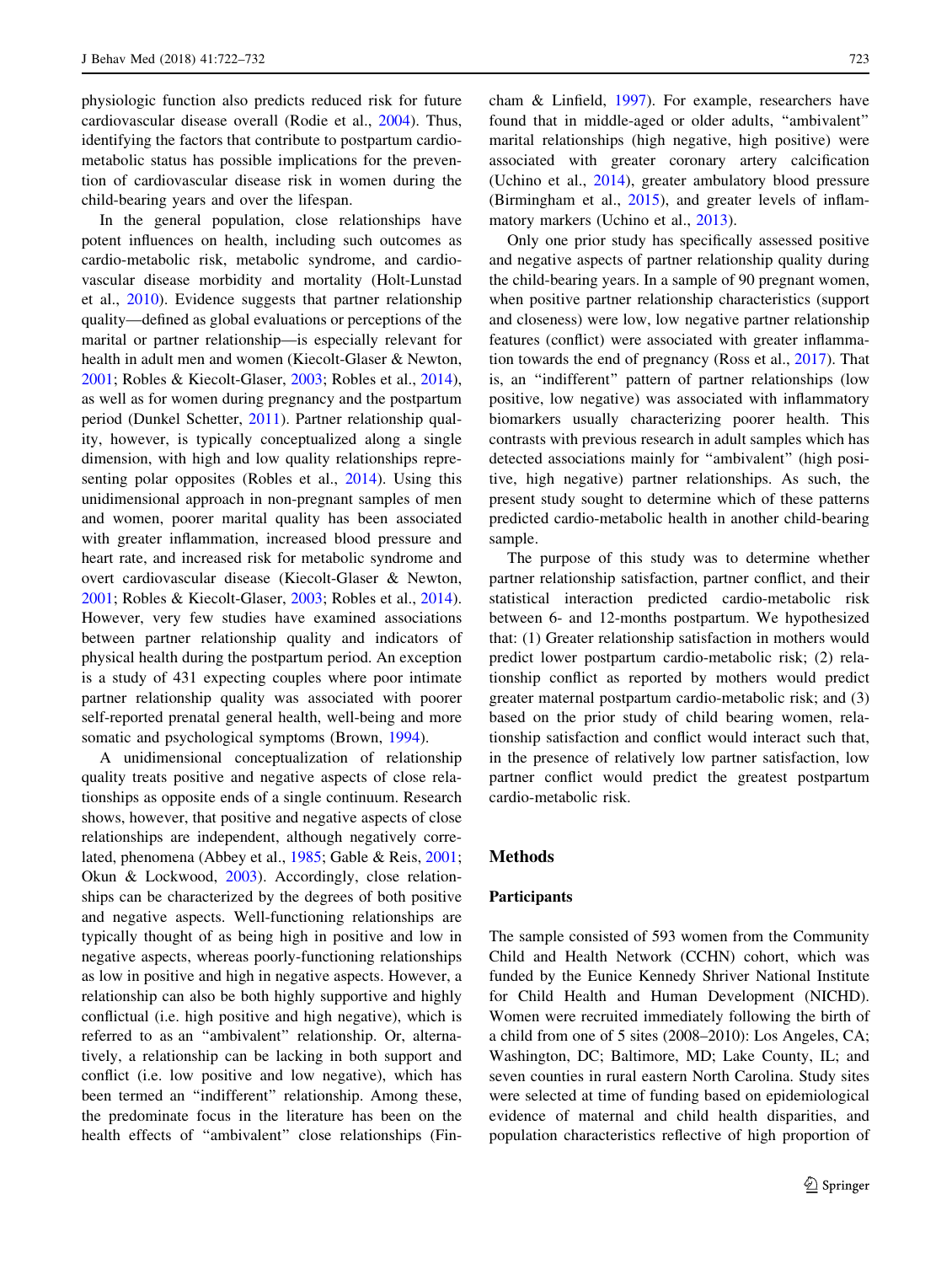physiologic function also predicts reduced risk for future cardiovascular disease overall (Rodie et al., [2004\)](#page-10-0). Thus, identifying the factors that contribute to postpartum cardiometabolic status has possible implications for the prevention of cardiovascular disease risk in women during the child-bearing years and over the lifespan.

In the general population, close relationships have potent influences on health, including such outcomes as cardio-metabolic risk, metabolic syndrome, and cardiovascular disease morbidity and mortality (Holt-Lunstad et al., [2010](#page-9-0)). Evidence suggests that partner relationship quality—defined as global evaluations or perceptions of the marital or partner relationship—is especially relevant for health in adult men and women (Kiecolt-Glaser & Newton, [2001;](#page-9-0) Robles & Kiecolt-Glaser, [2003;](#page-10-0) Robles et al., [2014](#page-10-0)), as well as for women during pregnancy and the postpartum period (Dunkel Schetter, [2011\)](#page-8-0). Partner relationship quality, however, is typically conceptualized along a single dimension, with high and low quality relationships representing polar opposites (Robles et al., [2014](#page-10-0)). Using this unidimensional approach in non-pregnant samples of men and women, poorer marital quality has been associated with greater inflammation, increased blood pressure and heart rate, and increased risk for metabolic syndrome and overt cardiovascular disease (Kiecolt-Glaser & Newton, [2001;](#page-9-0) Robles & Kiecolt-Glaser, [2003;](#page-10-0) Robles et al., [2014](#page-10-0)). However, very few studies have examined associations between partner relationship quality and indicators of physical health during the postpartum period. An exception is a study of 431 expecting couples where poor intimate partner relationship quality was associated with poorer self-reported prenatal general health, well-being and more somatic and psychological symptoms (Brown, [1994\)](#page-8-0).

A unidimensional conceptualization of relationship quality treats positive and negative aspects of close relationships as opposite ends of a single continuum. Research shows, however, that positive and negative aspects of close relationships are independent, although negatively correlated, phenomena (Abbey et al., [1985](#page-8-0); Gable & Reis, [2001](#page-8-0); Okun & Lockwood, [2003](#page-9-0)). Accordingly, close relationships can be characterized by the degrees of both positive and negative aspects. Well-functioning relationships are typically thought of as being high in positive and low in negative aspects, whereas poorly-functioning relationships as low in positive and high in negative aspects. However, a relationship can also be both highly supportive and highly conflictual (i.e. high positive and high negative), which is referred to as an ''ambivalent'' relationship. Or, alternatively, a relationship can be lacking in both support and conflict (i.e. low positive and low negative), which has been termed an ''indifferent'' relationship. Among these, the predominate focus in the literature has been on the health effects of ''ambivalent'' close relationships (Fincham & Linfield, [1997\)](#page-8-0). For example, researchers have found that in middle-aged or older adults, ''ambivalent'' marital relationships (high negative, high positive) were associated with greater coronary artery calcification (Uchino et al., [2014](#page-10-0)), greater ambulatory blood pressure (Birmingham et al., [2015](#page-8-0)), and greater levels of inflammatory markers (Uchino et al., [2013\)](#page-10-0).

Only one prior study has specifically assessed positive and negative aspects of partner relationship quality during the child-bearing years. In a sample of 90 pregnant women, when positive partner relationship characteristics (support and closeness) were low, low negative partner relationship features (conflict) were associated with greater inflammation towards the end of pregnancy (Ross et al., [2017](#page-10-0)). That is, an ''indifferent'' pattern of partner relationships (low positive, low negative) was associated with inflammatory biomarkers usually characterizing poorer health. This contrasts with previous research in adult samples which has detected associations mainly for ''ambivalent'' (high positive, high negative) partner relationships. As such, the present study sought to determine which of these patterns predicted cardio-metabolic health in another child-bearing sample.

The purpose of this study was to determine whether partner relationship satisfaction, partner conflict, and their statistical interaction predicted cardio-metabolic risk between 6- and 12-months postpartum. We hypothesized that: (1) Greater relationship satisfaction in mothers would predict lower postpartum cardio-metabolic risk; (2) relationship conflict as reported by mothers would predict greater maternal postpartum cardio-metabolic risk; and (3) based on the prior study of child bearing women, relationship satisfaction and conflict would interact such that, in the presence of relatively low partner satisfaction, low partner conflict would predict the greatest postpartum cardio-metabolic risk.

## Methods

## Participants

The sample consisted of 593 women from the Community Child and Health Network (CCHN) cohort, which was funded by the Eunice Kennedy Shriver National Institute for Child Health and Human Development (NICHD). Women were recruited immediately following the birth of a child from one of 5 sites (2008–2010): Los Angeles, CA; Washington, DC; Baltimore, MD; Lake County, IL; and seven counties in rural eastern North Carolina. Study sites were selected at time of funding based on epidemiological evidence of maternal and child health disparities, and population characteristics reflective of high proportion of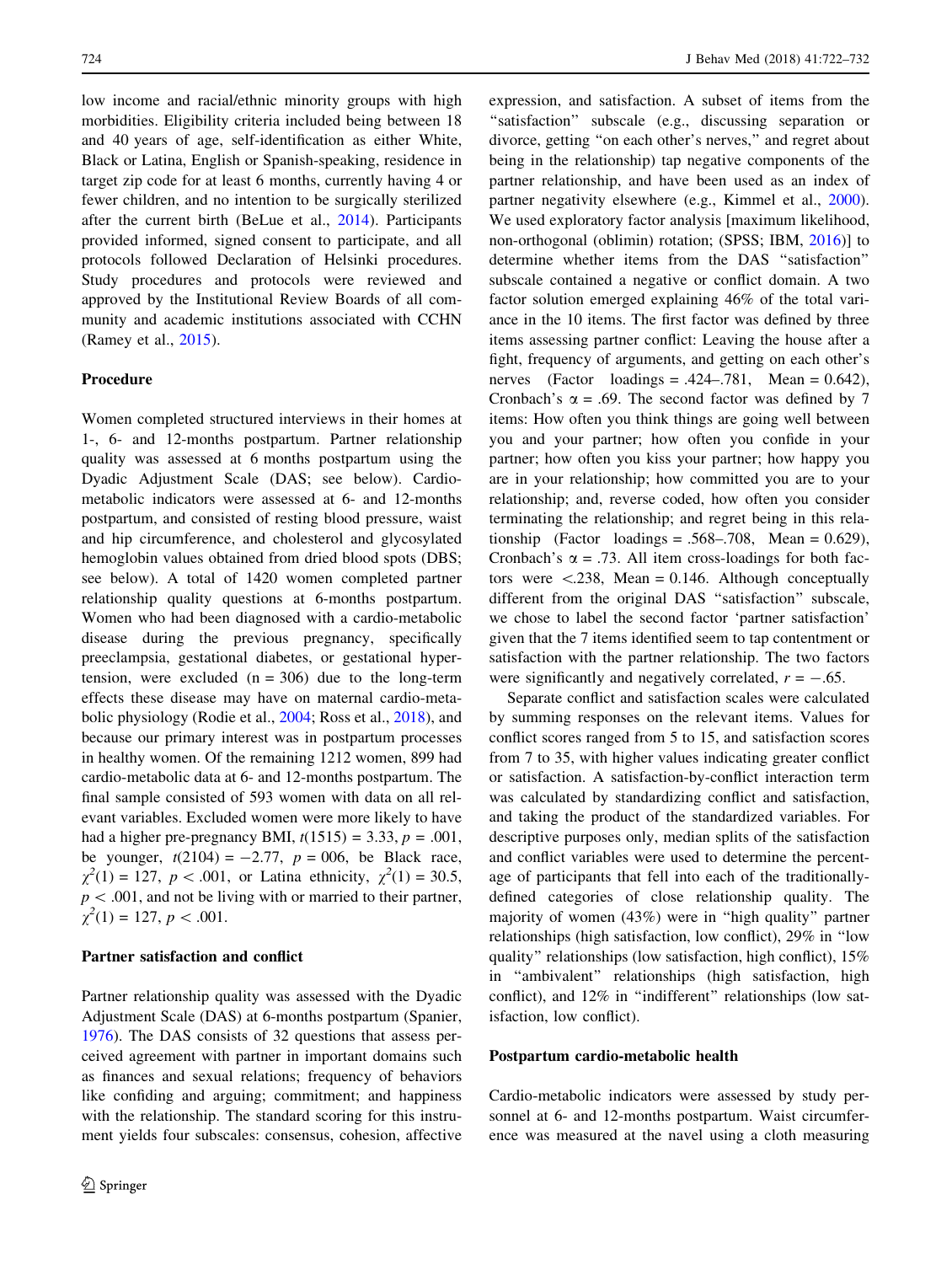low income and racial/ethnic minority groups with high morbidities. Eligibility criteria included being between 18 and 40 years of age, self-identification as either White, Black or Latina, English or Spanish-speaking, residence in target zip code for at least 6 months, currently having 4 or fewer children, and no intention to be surgically sterilized after the current birth (BeLue et al., [2014](#page-8-0)). Participants provided informed, signed consent to participate, and all protocols followed Declaration of Helsinki procedures. Study procedures and protocols were reviewed and approved by the Institutional Review Boards of all community and academic institutions associated with CCHN (Ramey et al., [2015](#page-9-0)).

## Procedure

Women completed structured interviews in their homes at 1-, 6- and 12-months postpartum. Partner relationship quality was assessed at 6 months postpartum using the Dyadic Adjustment Scale (DAS; see below). Cardiometabolic indicators were assessed at 6- and 12-months postpartum, and consisted of resting blood pressure, waist and hip circumference, and cholesterol and glycosylated hemoglobin values obtained from dried blood spots (DBS; see below). A total of 1420 women completed partner relationship quality questions at 6-months postpartum. Women who had been diagnosed with a cardio-metabolic disease during the previous pregnancy, specifically preeclampsia, gestational diabetes, or gestational hypertension, were excluded  $(n = 306)$  due to the long-term effects these disease may have on maternal cardio-metabolic physiology (Rodie et al., [2004;](#page-10-0) Ross et al., [2018](#page-10-0)), and because our primary interest was in postpartum processes in healthy women. Of the remaining 1212 women, 899 had cardio-metabolic data at 6- and 12-months postpartum. The final sample consisted of 593 women with data on all relevant variables. Excluded women were more likely to have had a higher pre-pregnancy BMI,  $t(1515) = 3.33, p = .001$ , be younger,  $t(2104) = -2.77$ ,  $p = 006$ , be Black race,  $\chi^2(1) = 127$ ,  $p < .001$ , or Latina ethnicity,  $\chi^2(1) = 30.5$ ,  $p < .001$ , and not be living with or married to their partner,  $\chi^2(1) = 127, p < .001.$ 

#### Partner satisfaction and conflict

Partner relationship quality was assessed with the Dyadic Adjustment Scale (DAS) at 6-months postpartum (Spanier, [1976\)](#page-10-0). The DAS consists of 32 questions that assess perceived agreement with partner in important domains such as finances and sexual relations; frequency of behaviors like confiding and arguing; commitment; and happiness with the relationship. The standard scoring for this instrument yields four subscales: consensus, cohesion, affective expression, and satisfaction. A subset of items from the "satisfaction" subscale (e.g., discussing separation or divorce, getting ''on each other's nerves,'' and regret about being in the relationship) tap negative components of the partner relationship, and have been used as an index of partner negativity elsewhere (e.g., Kimmel et al., [2000](#page-9-0)). We used exploratory factor analysis [maximum likelihood, non-orthogonal (oblimin) rotation; (SPSS; IBM, [2016](#page-9-0))] to determine whether items from the DAS ''satisfaction'' subscale contained a negative or conflict domain. A two factor solution emerged explaining 46% of the total variance in the 10 items. The first factor was defined by three items assessing partner conflict: Leaving the house after a fight, frequency of arguments, and getting on each other's nerves (Factor loadings = .424-.781, Mean =  $0.642$ ), Cronbach's  $\alpha$  = .69. The second factor was defined by 7 items: How often you think things are going well between you and your partner; how often you confide in your partner; how often you kiss your partner; how happy you are in your relationship; how committed you are to your relationship; and, reverse coded, how often you consider terminating the relationship; and regret being in this relationship (Factor loadings = .568-.708, Mean =  $0.629$ ), Cronbach's  $\alpha$  = .73. All item cross-loadings for both factors were  $\langle .238, \text{Mean} = 0.146, \text{Although conceptually}$ different from the original DAS ''satisfaction'' subscale, we chose to label the second factor 'partner satisfaction' given that the 7 items identified seem to tap contentment or satisfaction with the partner relationship. The two factors were significantly and negatively correlated,  $r = -.65$ .

Separate conflict and satisfaction scales were calculated by summing responses on the relevant items. Values for conflict scores ranged from 5 to 15, and satisfaction scores from 7 to 35, with higher values indicating greater conflict or satisfaction. A satisfaction-by-conflict interaction term was calculated by standardizing conflict and satisfaction, and taking the product of the standardized variables. For descriptive purposes only, median splits of the satisfaction and conflict variables were used to determine the percentage of participants that fell into each of the traditionallydefined categories of close relationship quality. The majority of women (43%) were in ''high quality'' partner relationships (high satisfaction, low conflict), 29% in ''low quality'' relationships (low satisfaction, high conflict), 15% in ''ambivalent'' relationships (high satisfaction, high conflict), and 12% in ''indifferent'' relationships (low satisfaction, low conflict).

#### Postpartum cardio-metabolic health

Cardio-metabolic indicators were assessed by study personnel at 6- and 12-months postpartum. Waist circumference was measured at the navel using a cloth measuring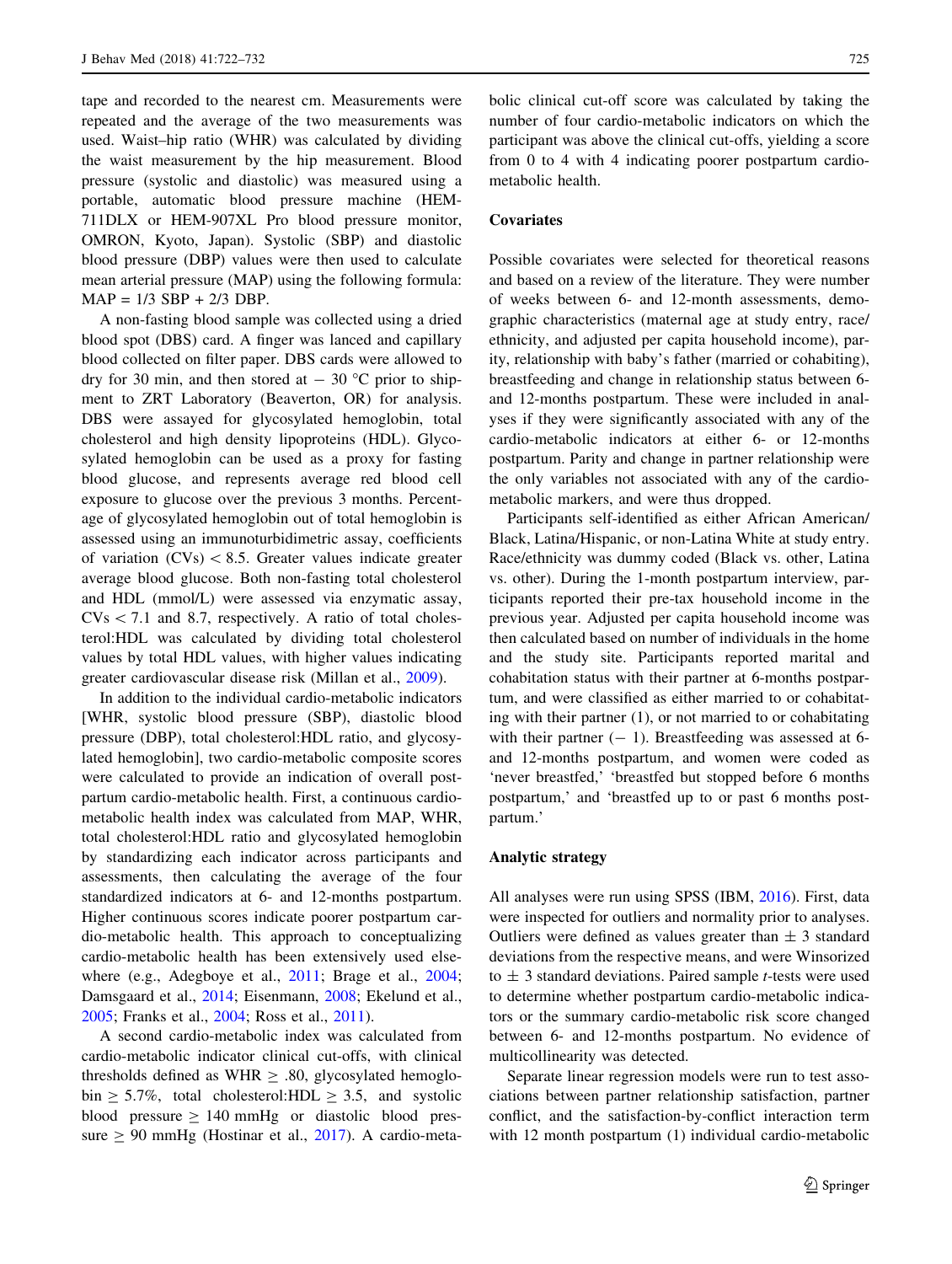tape and recorded to the nearest cm. Measurements were repeated and the average of the two measurements was used. Waist–hip ratio (WHR) was calculated by dividing the waist measurement by the hip measurement. Blood pressure (systolic and diastolic) was measured using a portable, automatic blood pressure machine (HEM-711DLX or HEM-907XL Pro blood pressure monitor, OMRON, Kyoto, Japan). Systolic (SBP) and diastolic blood pressure (DBP) values were then used to calculate mean arterial pressure (MAP) using the following formula:  $MAP = 1/3 SBP + 2/3 DBP$ .

A non-fasting blood sample was collected using a dried blood spot (DBS) card. A finger was lanced and capillary blood collected on filter paper. DBS cards were allowed to dry for 30 min, and then stored at  $-$  30 °C prior to shipment to ZRT Laboratory (Beaverton, OR) for analysis. DBS were assayed for glycosylated hemoglobin, total cholesterol and high density lipoproteins (HDL). Glycosylated hemoglobin can be used as a proxy for fasting blood glucose, and represents average red blood cell exposure to glucose over the previous 3 months. Percentage of glycosylated hemoglobin out of total hemoglobin is assessed using an immunoturbidimetric assay, coefficients of variation  $(CVs) < 8.5$ . Greater values indicate greater average blood glucose. Both non-fasting total cholesterol and HDL (mmol/L) were assessed via enzymatic assay,  $CVs < 7.1$  and 8.7, respectively. A ratio of total cholesterol:HDL was calculated by dividing total cholesterol values by total HDL values, with higher values indicating greater cardiovascular disease risk (Millan et al., [2009\)](#page-9-0).

In addition to the individual cardio-metabolic indicators [WHR, systolic blood pressure (SBP), diastolic blood pressure (DBP), total cholesterol:HDL ratio, and glycosylated hemoglobin], two cardio-metabolic composite scores were calculated to provide an indication of overall postpartum cardio-metabolic health. First, a continuous cardiometabolic health index was calculated from MAP, WHR, total cholesterol:HDL ratio and glycosylated hemoglobin by standardizing each indicator across participants and assessments, then calculating the average of the four standardized indicators at 6- and 12-months postpartum. Higher continuous scores indicate poorer postpartum cardio-metabolic health. This approach to conceptualizing cardio-metabolic health has been extensively used elsewhere (e.g., Adegboye et al., [2011;](#page-8-0) Brage et al., [2004](#page-8-0); Damsgaard et al., [2014](#page-8-0); Eisenmann, [2008](#page-8-0); Ekelund et al., [2005;](#page-8-0) Franks et al., [2004;](#page-8-0) Ross et al., [2011\)](#page-10-0).

A second cardio-metabolic index was calculated from cardio-metabolic indicator clinical cut-offs, with clinical thresholds defined as WHR  $\geq$  .80, glycosylated hemoglobin  $\geq$  5.7%, total cholesterol:HDL  $\geq$  3.5, and systolic blood pressure  $\geq 140$  mmHg or diastolic blood pressure  $\geq 90$  mmHg (Hostinar et al., [2017\)](#page-9-0). A cardio-metabolic clinical cut-off score was calculated by taking the number of four cardio-metabolic indicators on which the participant was above the clinical cut-offs, yielding a score from 0 to 4 with 4 indicating poorer postpartum cardiometabolic health.

## **Covariates**

Possible covariates were selected for theoretical reasons and based on a review of the literature. They were number of weeks between 6- and 12-month assessments, demographic characteristics (maternal age at study entry, race/ ethnicity, and adjusted per capita household income), parity, relationship with baby's father (married or cohabiting), breastfeeding and change in relationship status between 6 and 12-months postpartum. These were included in analyses if they were significantly associated with any of the cardio-metabolic indicators at either 6- or 12-months postpartum. Parity and change in partner relationship were the only variables not associated with any of the cardiometabolic markers, and were thus dropped.

Participants self-identified as either African American/ Black, Latina/Hispanic, or non-Latina White at study entry. Race/ethnicity was dummy coded (Black vs. other, Latina vs. other). During the 1-month postpartum interview, participants reported their pre-tax household income in the previous year. Adjusted per capita household income was then calculated based on number of individuals in the home and the study site. Participants reported marital and cohabitation status with their partner at 6-months postpartum, and were classified as either married to or cohabitating with their partner (1), or not married to or cohabitating with their partner  $(-1)$ . Breastfeeding was assessed at 6and 12-months postpartum, and women were coded as 'never breastfed,' 'breastfed but stopped before 6 months postpartum,' and 'breastfed up to or past 6 months postpartum.'

#### Analytic strategy

All analyses were run using SPSS (IBM, [2016\)](#page-9-0). First, data were inspected for outliers and normality prior to analyses. Outliers were defined as values greater than  $\pm$  3 standard deviations from the respective means, and were Winsorized to  $\pm$  3 standard deviations. Paired sample *t*-tests were used to determine whether postpartum cardio-metabolic indicators or the summary cardio-metabolic risk score changed between 6- and 12-months postpartum. No evidence of multicollinearity was detected.

Separate linear regression models were run to test associations between partner relationship satisfaction, partner conflict, and the satisfaction-by-conflict interaction term with 12 month postpartum (1) individual cardio-metabolic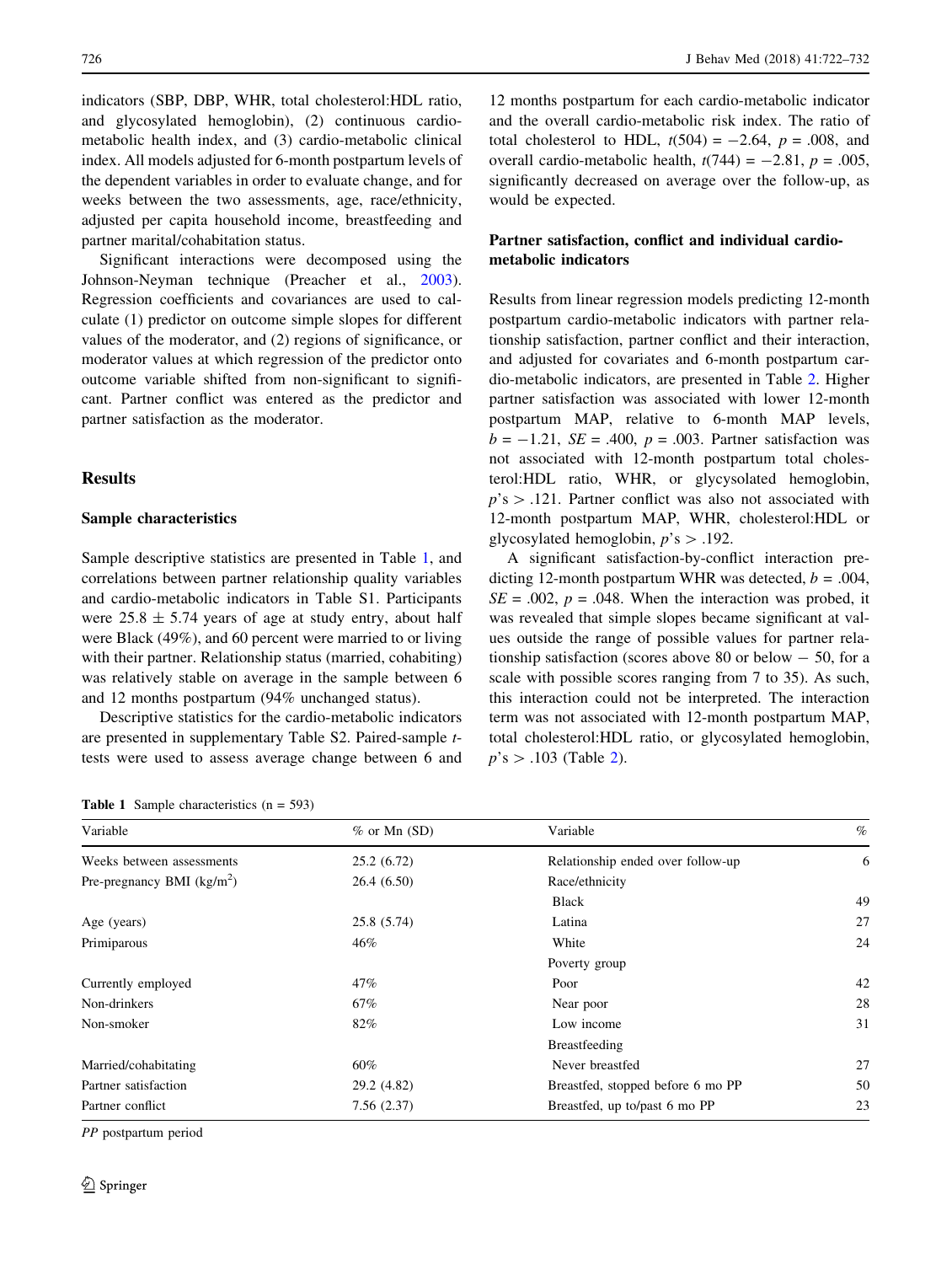indicators (SBP, DBP, WHR, total cholesterol:HDL ratio, and glycosylated hemoglobin), (2) continuous cardiometabolic health index, and (3) cardio-metabolic clinical index. All models adjusted for 6-month postpartum levels of the dependent variables in order to evaluate change, and for weeks between the two assessments, age, race/ethnicity, adjusted per capita household income, breastfeeding and partner marital/cohabitation status.

Significant interactions were decomposed using the Johnson-Neyman technique (Preacher et al., [2003](#page-9-0)). Regression coefficients and covariances are used to calculate (1) predictor on outcome simple slopes for different values of the moderator, and (2) regions of significance, or moderator values at which regression of the predictor onto outcome variable shifted from non-significant to significant. Partner conflict was entered as the predictor and partner satisfaction as the moderator.

## **Results**

#### Sample characteristics

Sample descriptive statistics are presented in Table 1, and correlations between partner relationship quality variables and cardio-metabolic indicators in Table S1. Participants were  $25.8 \pm 5.74$  years of age at study entry, about half were Black (49%), and 60 percent were married to or living with their partner. Relationship status (married, cohabiting) was relatively stable on average in the sample between 6 and 12 months postpartum (94% unchanged status).

Descriptive statistics for the cardio-metabolic indicators are presented in supplementary Table S2. Paired-sample ttests were used to assess average change between 6 and

|  |  | <b>Table 1</b> Sample characteristics $(n = 593)$ |  |  |
|--|--|---------------------------------------------------|--|--|
|--|--|---------------------------------------------------|--|--|

12 months postpartum for each cardio-metabolic indicator and the overall cardio-metabolic risk index. The ratio of total cholesterol to HDL,  $t(504) = -2.64$ ,  $p = .008$ , and overall cardio-metabolic health,  $t(744) = -2.81$ ,  $p = .005$ , significantly decreased on average over the follow-up, as would be expected.

## Partner satisfaction, conflict and individual cardiometabolic indicators

Results from linear regression models predicting 12-month postpartum cardio-metabolic indicators with partner relationship satisfaction, partner conflict and their interaction, and adjusted for covariates and 6-month postpartum cardio-metabolic indicators, are presented in Table [2.](#page-5-0) Higher partner satisfaction was associated with lower 12-month postpartum MAP, relative to 6-month MAP levels,  $b = -1.21$ ,  $SE = .400$ ,  $p = .003$ . Partner satisfaction was not associated with 12-month postpartum total cholesterol:HDL ratio, WHR, or glycysolated hemoglobin,  $p$ 's  $> .121$ . Partner conflict was also not associated with 12-month postpartum MAP, WHR, cholesterol:HDL or glycosylated hemoglobin,  $p$ 's  $> .192$ .

A significant satisfaction-by-conflict interaction predicting 12-month postpartum WHR was detected,  $b = .004$ ,  $SE = .002$ ,  $p = .048$ . When the interaction was probed, it was revealed that simple slopes became significant at values outside the range of possible values for partner relationship satisfaction (scores above 80 or below  $-50$ , for a scale with possible scores ranging from 7 to 35). As such, this interaction could not be interpreted. The interaction term was not associated with 12-month postpartum MAP, total cholesterol:HDL ratio, or glycosylated hemoglobin,  $p$ 's > .103 (Table [2\)](#page-5-0).

| Variable<br>$%$ or Mn (SD)                | Variable                          | $\%$           |
|-------------------------------------------|-----------------------------------|----------------|
| 25.2(6.72)<br>Weeks between assessments   | Relationship ended over follow-up | 6              |
| Pre-pregnancy BMI $(kg/m2)$<br>26.4(6.50) | Race/ethnicity                    |                |
|                                           | <b>Black</b>                      | 4 <sub>5</sub> |
| 25.8 (5.74)<br>Age (years)                | Latina                            | 27             |
| Primiparous<br>46%                        | White                             | 24             |
|                                           | Poverty group                     |                |
| Currently employed<br>47%                 | Poor                              | 42             |
| Non-drinkers<br>67%                       | Near poor                         | 28             |
| 82%<br>Non-smoker                         | Low income                        | 31             |
|                                           | Breastfeeding                     |                |
| 60%<br>Married/cohabitating               | Never breastfed                   | 27             |
| Partner satisfaction<br>29.2 (4.82)       | Breastfed, stopped before 6 mo PP | 50             |
| Partner conflict<br>7.56(2.37)            | Breastfed, up to/past 6 mo PP     | 2 <sup>3</sup> |

PP postpartum period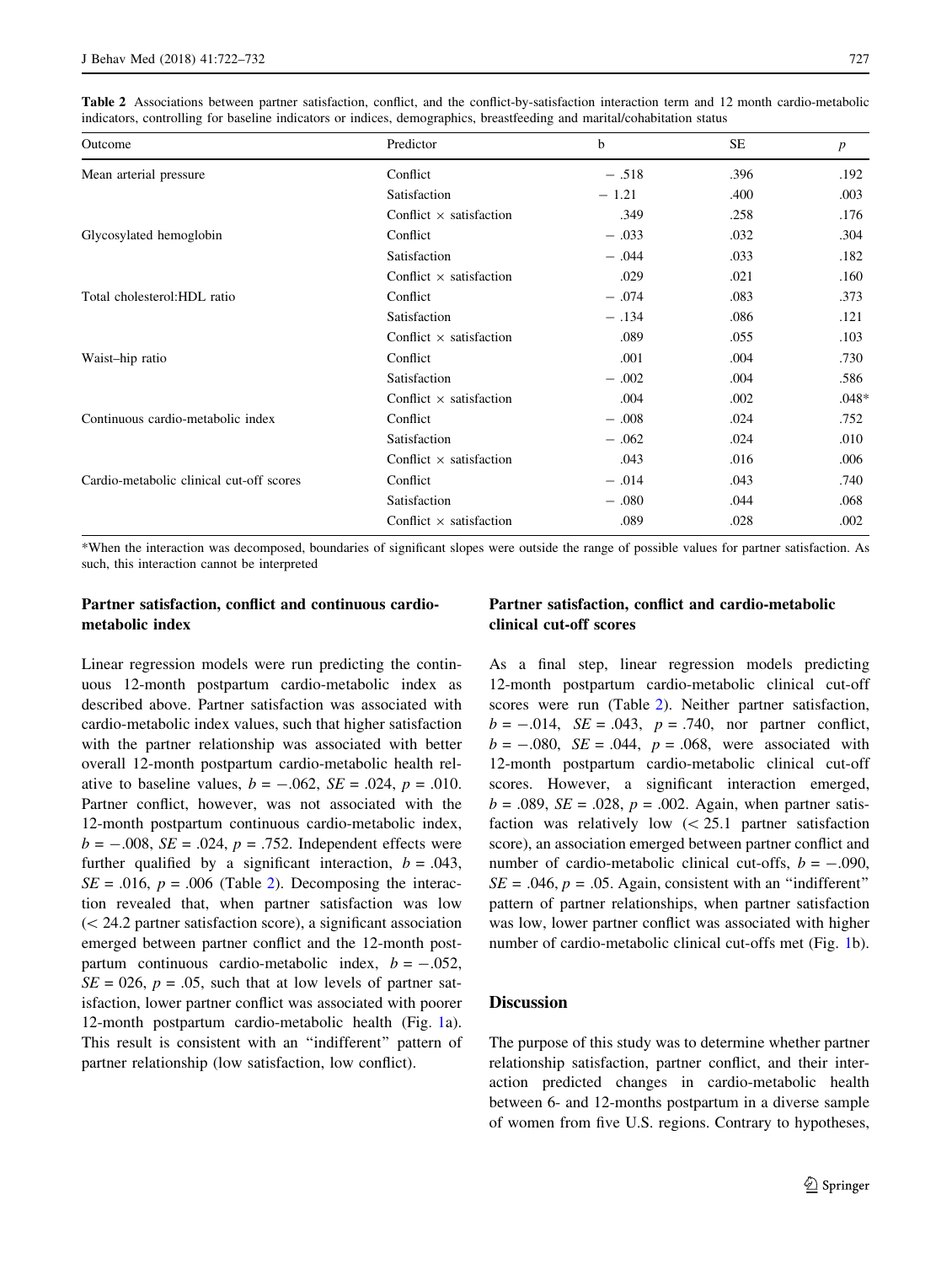<span id="page-5-0"></span>Table 2 Associations between partner satisfaction, conflict, and the conflict-by-satisfaction interaction term and 12 month cardio-metabolic indicators, controlling for baseline indicators or indices, demographics, breastfeeding and marital/cohabitation status

| Outcome                                  | Predictor                      | b       | <b>SE</b> | $\boldsymbol{p}$ |
|------------------------------------------|--------------------------------|---------|-----------|------------------|
| Mean arterial pressure                   | Conflict                       | $-.518$ | .396      | .192             |
|                                          | Satisfaction                   | $-1.21$ | .400      | .003             |
|                                          | Conflict $\times$ satisfaction | .349    | .258      | .176             |
| Glycosylated hemoglobin                  | Conflict                       | $-.033$ | .032      | .304             |
|                                          | Satisfaction                   | $-.044$ | .033      | .182             |
|                                          | Conflict $\times$ satisfaction | .029    | .021      | .160             |
| Total cholesterol: HDL ratio             | Conflict                       | $-.074$ | .083      | .373             |
|                                          | Satisfaction                   | $-.134$ | .086      | .121             |
|                                          | Conflict $\times$ satisfaction | .089    | .055      | .103             |
| Waist-hip ratio                          | Conflict                       | .001    | .004      | .730             |
|                                          | Satisfaction                   | $-.002$ | .004      | .586             |
|                                          | Conflict $\times$ satisfaction | .004    | .002      | $.048*$          |
| Continuous cardio-metabolic index        | Conflict                       | $-.008$ | .024      | .752             |
|                                          | Satisfaction                   | $-.062$ | .024      | .010             |
|                                          | Conflict $\times$ satisfaction | .043    | .016      | .006             |
| Cardio-metabolic clinical cut-off scores | Conflict                       | $-.014$ | .043      | .740             |
|                                          | Satisfaction                   | $-.080$ | .044      | .068             |
|                                          | Conflict $\times$ satisfaction | .089    | .028      | .002             |

\*When the interaction was decomposed, boundaries of significant slopes were outside the range of possible values for partner satisfaction. As such, this interaction cannot be interpreted

## Partner satisfaction, conflict and continuous cardiometabolic index

Linear regression models were run predicting the continuous 12-month postpartum cardio-metabolic index as described above. Partner satisfaction was associated with cardio-metabolic index values, such that higher satisfaction with the partner relationship was associated with better overall 12-month postpartum cardio-metabolic health relative to baseline values,  $b = -.062$ ,  $SE = .024$ ,  $p = .010$ . Partner conflict, however, was not associated with the 12-month postpartum continuous cardio-metabolic index,  $b = -.008$ ,  $SE = .024$ ,  $p = .752$ . Independent effects were further qualified by a significant interaction,  $b = .043$ ,  $SE = .016$ ,  $p = .006$  (Table 2). Decomposing the interaction revealed that, when partner satisfaction was low  $(<$  24.2 partner satisfaction score), a significant association emerged between partner conflict and the 12-month postpartum continuous cardio-metabolic index,  $b = -.052$ ,  $SE = 026$ ,  $p = .05$ , such that at low levels of partner satisfaction, lower partner conflict was associated with poorer 12-month postpartum cardio-metabolic health (Fig. [1a](#page-6-0)). This result is consistent with an ''indifferent'' pattern of partner relationship (low satisfaction, low conflict).

## Partner satisfaction, conflict and cardio-metabolic clinical cut-off scores

As a final step, linear regression models predicting 12-month postpartum cardio-metabolic clinical cut-off scores were run (Table 2). Neither partner satisfaction,  $b = -.014$ ,  $SE = .043$ ,  $p = .740$ , nor partner conflict,  $b = -.080$ ,  $SE = .044$ ,  $p = .068$ , were associated with 12-month postpartum cardio-metabolic clinical cut-off scores. However, a significant interaction emerged,  $b = .089$ ,  $SE = .028$ ,  $p = .002$ . Again, when partner satisfaction was relatively low  $(< 25.1$  partner satisfaction score), an association emerged between partner conflict and number of cardio-metabolic clinical cut-offs,  $b = -.090$ ,  $SE = .046$ ,  $p = .05$ . Again, consistent with an "indifferent" pattern of partner relationships, when partner satisfaction was low, lower partner conflict was associated with higher number of cardio-metabolic clinical cut-offs met (Fig. [1](#page-6-0)b).

## **Discussion**

The purpose of this study was to determine whether partner relationship satisfaction, partner conflict, and their interaction predicted changes in cardio-metabolic health between 6- and 12-months postpartum in a diverse sample of women from five U.S. regions. Contrary to hypotheses,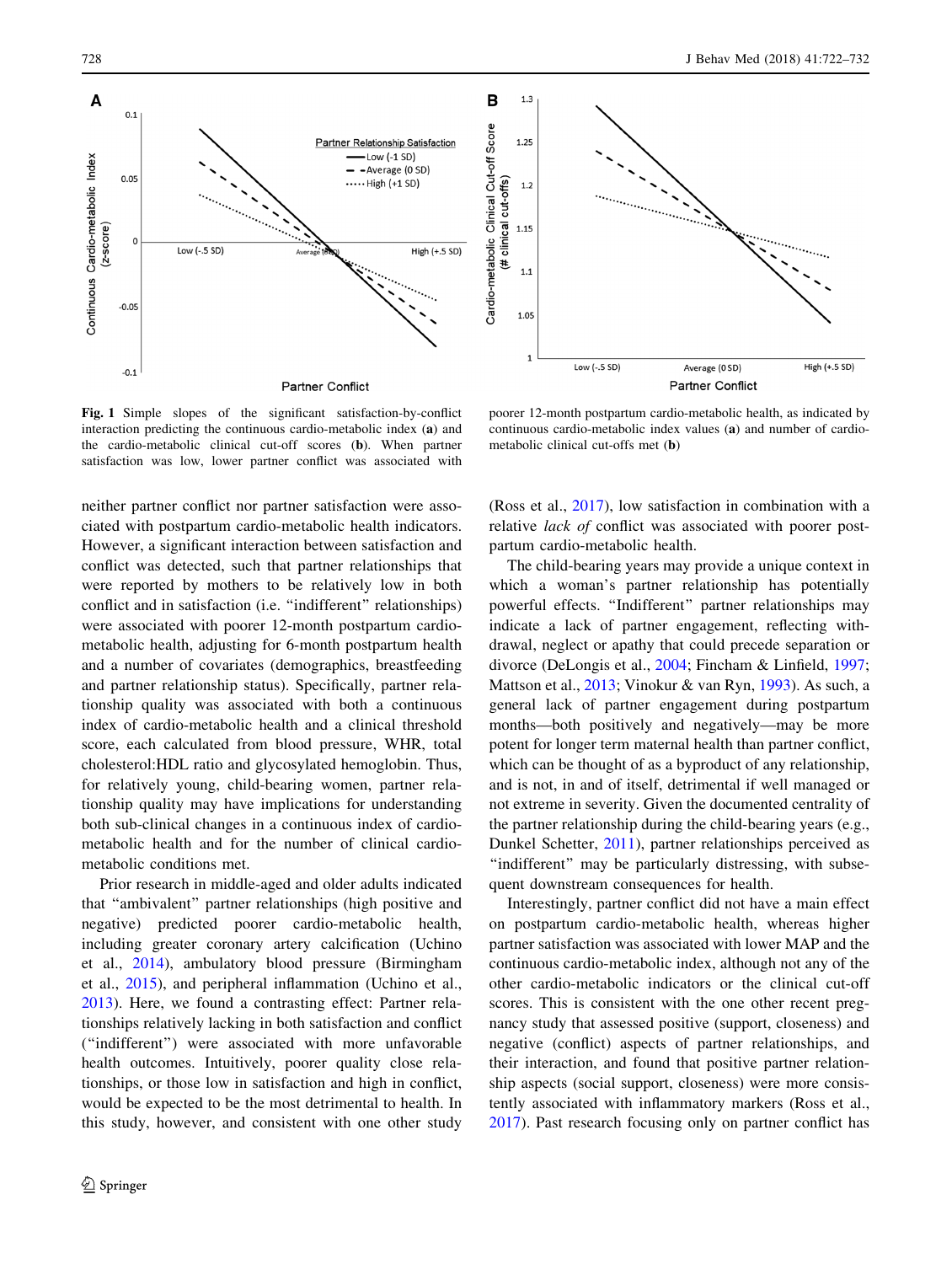<span id="page-6-0"></span>



Fig. 1 Simple slopes of the significant satisfaction-by-conflict interaction predicting the continuous cardio-metabolic index (a) and the cardio-metabolic clinical cut-off scores (b). When partner satisfaction was low, lower partner conflict was associated with

neither partner conflict nor partner satisfaction were associated with postpartum cardio-metabolic health indicators. However, a significant interaction between satisfaction and conflict was detected, such that partner relationships that were reported by mothers to be relatively low in both conflict and in satisfaction (i.e. ''indifferent'' relationships) were associated with poorer 12-month postpartum cardiometabolic health, adjusting for 6-month postpartum health and a number of covariates (demographics, breastfeeding and partner relationship status). Specifically, partner relationship quality was associated with both a continuous index of cardio-metabolic health and a clinical threshold score, each calculated from blood pressure, WHR, total cholesterol:HDL ratio and glycosylated hemoglobin. Thus, for relatively young, child-bearing women, partner relationship quality may have implications for understanding both sub-clinical changes in a continuous index of cardiometabolic health and for the number of clinical cardiometabolic conditions met.

Prior research in middle-aged and older adults indicated that ''ambivalent'' partner relationships (high positive and negative) predicted poorer cardio-metabolic health, including greater coronary artery calcification (Uchino et al., [2014\)](#page-10-0), ambulatory blood pressure (Birmingham et al., [2015\)](#page-8-0), and peripheral inflammation (Uchino et al., [2013\)](#page-10-0). Here, we found a contrasting effect: Partner relationships relatively lacking in both satisfaction and conflict (''indifferent'') were associated with more unfavorable health outcomes. Intuitively, poorer quality close relationships, or those low in satisfaction and high in conflict, would be expected to be the most detrimental to health. In this study, however, and consistent with one other study

metabolic clinical cut-offs met (b)

poorer 12-month postpartum cardio-metabolic health, as indicated by continuous cardio-metabolic index values (a) and number of cardio-

(Ross et al., [2017](#page-10-0)), low satisfaction in combination with a relative lack of conflict was associated with poorer postpartum cardio-metabolic health.

The child-bearing years may provide a unique context in which a woman's partner relationship has potentially powerful effects. ''Indifferent'' partner relationships may indicate a lack of partner engagement, reflecting withdrawal, neglect or apathy that could precede separation or divorce (DeLongis et al., [2004](#page-8-0); Fincham & Linfield, [1997](#page-8-0); Mattson et al., [2013;](#page-9-0) Vinokur & van Ryn, [1993\)](#page-10-0). As such, a general lack of partner engagement during postpartum months—both positively and negatively—may be more potent for longer term maternal health than partner conflict, which can be thought of as a byproduct of any relationship, and is not, in and of itself, detrimental if well managed or not extreme in severity. Given the documented centrality of the partner relationship during the child-bearing years (e.g., Dunkel Schetter, [2011\)](#page-8-0), partner relationships perceived as "indifferent" may be particularly distressing, with subsequent downstream consequences for health.

Interestingly, partner conflict did not have a main effect on postpartum cardio-metabolic health, whereas higher partner satisfaction was associated with lower MAP and the continuous cardio-metabolic index, although not any of the other cardio-metabolic indicators or the clinical cut-off scores. This is consistent with the one other recent pregnancy study that assessed positive (support, closeness) and negative (conflict) aspects of partner relationships, and their interaction, and found that positive partner relationship aspects (social support, closeness) were more consistently associated with inflammatory markers (Ross et al., [2017](#page-10-0)). Past research focusing only on partner conflict has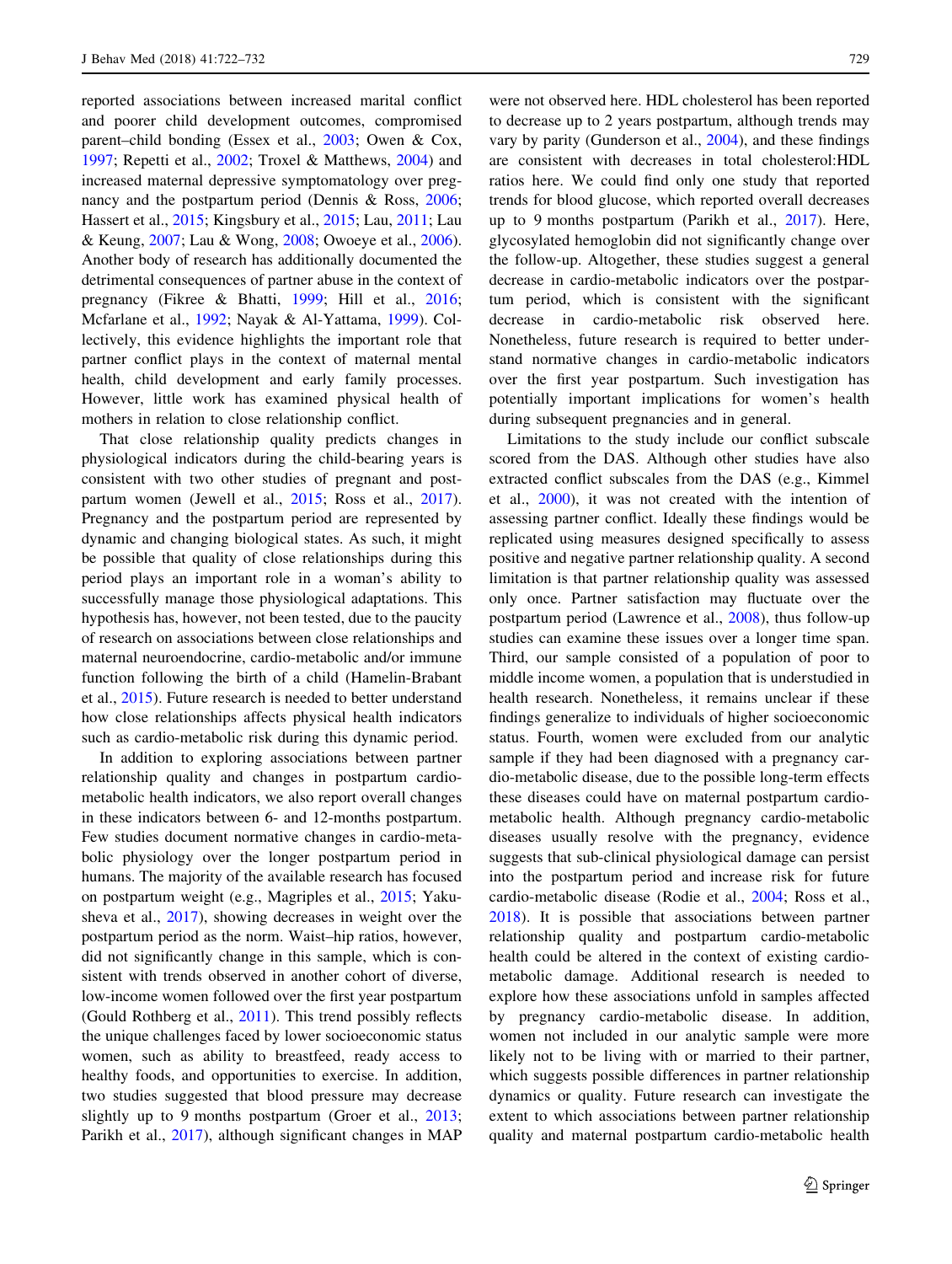reported associations between increased marital conflict and poorer child development outcomes, compromised parent–child bonding (Essex et al., [2003](#page-8-0); Owen & Cox, [1997;](#page-9-0) Repetti et al., [2002;](#page-10-0) Troxel & Matthews, [2004](#page-10-0)) and increased maternal depressive symptomatology over pregnancy and the postpartum period (Dennis & Ross, [2006](#page-8-0); Hassert et al., [2015;](#page-9-0) Kingsbury et al., [2015](#page-9-0); Lau, [2011](#page-9-0); Lau & Keung, [2007](#page-9-0); Lau & Wong, [2008](#page-9-0); Owoeye et al., [2006](#page-9-0)). Another body of research has additionally documented the detrimental consequences of partner abuse in the context of pregnancy (Fikree & Bhatti, [1999](#page-8-0); Hill et al., [2016](#page-9-0); Mcfarlane et al., [1992;](#page-9-0) Nayak & Al-Yattama, [1999](#page-9-0)). Collectively, this evidence highlights the important role that partner conflict plays in the context of maternal mental health, child development and early family processes. However, little work has examined physical health of mothers in relation to close relationship conflict.

That close relationship quality predicts changes in physiological indicators during the child-bearing years is consistent with two other studies of pregnant and postpartum women (Jewell et al., [2015;](#page-9-0) Ross et al., [2017](#page-10-0)). Pregnancy and the postpartum period are represented by dynamic and changing biological states. As such, it might be possible that quality of close relationships during this period plays an important role in a woman's ability to successfully manage those physiological adaptations. This hypothesis has, however, not been tested, due to the paucity of research on associations between close relationships and maternal neuroendocrine, cardio-metabolic and/or immune function following the birth of a child (Hamelin-Brabant et al., [2015\)](#page-9-0). Future research is needed to better understand how close relationships affects physical health indicators such as cardio-metabolic risk during this dynamic period.

In addition to exploring associations between partner relationship quality and changes in postpartum cardiometabolic health indicators, we also report overall changes in these indicators between 6- and 12-months postpartum. Few studies document normative changes in cardio-metabolic physiology over the longer postpartum period in humans. The majority of the available research has focused on postpartum weight (e.g., Magriples et al., [2015;](#page-9-0) Yakusheva et al., [2017](#page-10-0)), showing decreases in weight over the postpartum period as the norm. Waist–hip ratios, however, did not significantly change in this sample, which is consistent with trends observed in another cohort of diverse, low-income women followed over the first year postpartum (Gould Rothberg et al., [2011](#page-9-0)). This trend possibly reflects the unique challenges faced by lower socioeconomic status women, such as ability to breastfeed, ready access to healthy foods, and opportunities to exercise. In addition, two studies suggested that blood pressure may decrease slightly up to 9 months postpartum (Groer et al., [2013](#page-9-0); Parikh et al., [2017](#page-9-0)), although significant changes in MAP

were not observed here. HDL cholesterol has been reported to decrease up to 2 years postpartum, although trends may vary by parity (Gunderson et al., [2004](#page-9-0)), and these findings are consistent with decreases in total cholesterol:HDL ratios here. We could find only one study that reported trends for blood glucose, which reported overall decreases up to 9 months postpartum (Parikh et al., [2017](#page-9-0)). Here, glycosylated hemoglobin did not significantly change over the follow-up. Altogether, these studies suggest a general decrease in cardio-metabolic indicators over the postpartum period, which is consistent with the significant decrease in cardio-metabolic risk observed here. Nonetheless, future research is required to better understand normative changes in cardio-metabolic indicators over the first year postpartum. Such investigation has potentially important implications for women's health during subsequent pregnancies and in general.

Limitations to the study include our conflict subscale scored from the DAS. Although other studies have also extracted conflict subscales from the DAS (e.g., Kimmel et al., [2000\)](#page-9-0), it was not created with the intention of assessing partner conflict. Ideally these findings would be replicated using measures designed specifically to assess positive and negative partner relationship quality. A second limitation is that partner relationship quality was assessed only once. Partner satisfaction may fluctuate over the postpartum period (Lawrence et al., [2008\)](#page-9-0), thus follow-up studies can examine these issues over a longer time span. Third, our sample consisted of a population of poor to middle income women, a population that is understudied in health research. Nonetheless, it remains unclear if these findings generalize to individuals of higher socioeconomic status. Fourth, women were excluded from our analytic sample if they had been diagnosed with a pregnancy cardio-metabolic disease, due to the possible long-term effects these diseases could have on maternal postpartum cardiometabolic health. Although pregnancy cardio-metabolic diseases usually resolve with the pregnancy, evidence suggests that sub-clinical physiological damage can persist into the postpartum period and increase risk for future cardio-metabolic disease (Rodie et al., [2004](#page-10-0); Ross et al., [2018](#page-10-0)). It is possible that associations between partner relationship quality and postpartum cardio-metabolic health could be altered in the context of existing cardiometabolic damage. Additional research is needed to explore how these associations unfold in samples affected by pregnancy cardio-metabolic disease. In addition, women not included in our analytic sample were more likely not to be living with or married to their partner, which suggests possible differences in partner relationship dynamics or quality. Future research can investigate the extent to which associations between partner relationship quality and maternal postpartum cardio-metabolic health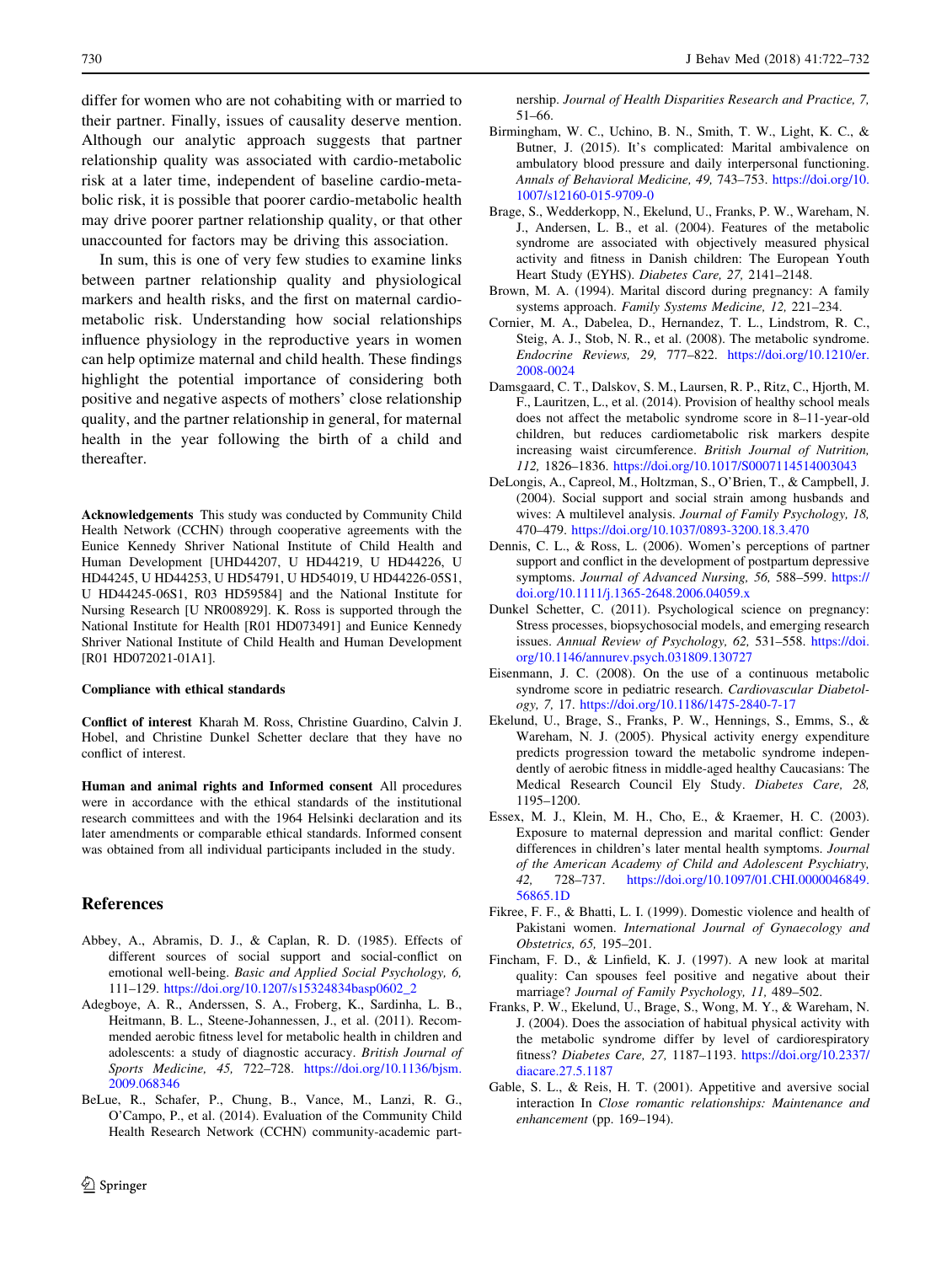<span id="page-8-0"></span>differ for women who are not cohabiting with or married to their partner. Finally, issues of causality deserve mention. Although our analytic approach suggests that partner relationship quality was associated with cardio-metabolic risk at a later time, independent of baseline cardio-metabolic risk, it is possible that poorer cardio-metabolic health may drive poorer partner relationship quality, or that other unaccounted for factors may be driving this association.

In sum, this is one of very few studies to examine links between partner relationship quality and physiological markers and health risks, and the first on maternal cardiometabolic risk. Understanding how social relationships influence physiology in the reproductive years in women can help optimize maternal and child health. These findings highlight the potential importance of considering both positive and negative aspects of mothers' close relationship quality, and the partner relationship in general, for maternal health in the year following the birth of a child and thereafter.

Acknowledgements This study was conducted by Community Child Health Network (CCHN) through cooperative agreements with the Eunice Kennedy Shriver National Institute of Child Health and Human Development [UHD44207, U HD44219, U HD44226, U HD44245, U HD44253, U HD54791, U HD54019, U HD44226-05S1, U HD44245-06S1, R03 HD59584] and the National Institute for Nursing Research [U NR008929]. K. Ross is supported through the National Institute for Health [R01 HD073491] and Eunice Kennedy Shriver National Institute of Child Health and Human Development [R01 HD072021-01A1].

#### Compliance with ethical standards

Conflict of interest Kharah M. Ross, Christine Guardino, Calvin J. Hobel, and Christine Dunkel Schetter declare that they have no conflict of interest.

Human and animal rights and Informed consent All procedures were in accordance with the ethical standards of the institutional research committees and with the 1964 Helsinki declaration and its later amendments or comparable ethical standards. Informed consent was obtained from all individual participants included in the study.

### References

- Abbey, A., Abramis, D. J., & Caplan, R. D. (1985). Effects of different sources of social support and social-conflict on emotional well-being. Basic and Applied Social Psychology, 6, 111–129. [https://doi.org/10.1207/s15324834basp0602\\_2](https://doi.org/10.1207/s15324834basp0602_2)
- Adegboye, A. R., Anderssen, S. A., Froberg, K., Sardinha, L. B., Heitmann, B. L., Steene-Johannessen, J., et al. (2011). Recommended aerobic fitness level for metabolic health in children and adolescents: a study of diagnostic accuracy. British Journal of Sports Medicine, 45, 722–728. [https://doi.org/10.1136/bjsm.](https://doi.org/10.1136/bjsm.2009.068346) [2009.068346](https://doi.org/10.1136/bjsm.2009.068346)
- BeLue, R., Schafer, P., Chung, B., Vance, M., Lanzi, R. G., O'Campo, P., et al. (2014). Evaluation of the Community Child Health Research Network (CCHN) community-academic part-

nership. Journal of Health Disparities Research and Practice, 7, 51–66.

- Birmingham, W. C., Uchino, B. N., Smith, T. W., Light, K. C., & Butner, J. (2015). It's complicated: Marital ambivalence on ambulatory blood pressure and daily interpersonal functioning. Annals of Behavioral Medicine, 49, 743–753. [https://doi.org/10.](https://doi.org/10.1007/s12160-015-9709-0) [1007/s12160-015-9709-0](https://doi.org/10.1007/s12160-015-9709-0)
- Brage, S., Wedderkopp, N., Ekelund, U., Franks, P. W., Wareham, N. J., Andersen, L. B., et al. (2004). Features of the metabolic syndrome are associated with objectively measured physical activity and fitness in Danish children: The European Youth Heart Study (EYHS). Diabetes Care, 27, 2141-2148.
- Brown, M. A. (1994). Marital discord during pregnancy: A family systems approach. Family Systems Medicine, 12, 221–234.
- Cornier, M. A., Dabelea, D., Hernandez, T. L., Lindstrom, R. C., Steig, A. J., Stob, N. R., et al. (2008). The metabolic syndrome. Endocrine Reviews, 29, 777–822. [https://doi.org/10.1210/er.](https://doi.org/10.1210/er.2008-0024) [2008-0024](https://doi.org/10.1210/er.2008-0024)
- Damsgaard, C. T., Dalskov, S. M., Laursen, R. P., Ritz, C., Hjorth, M. F., Lauritzen, L., et al. (2014). Provision of healthy school meals does not affect the metabolic syndrome score in 8–11-year-old children, but reduces cardiometabolic risk markers despite increasing waist circumference. British Journal of Nutrition, 112, 1826–1836. <https://doi.org/10.1017/S0007114514003043>
- DeLongis, A., Capreol, M., Holtzman, S., O'Brien, T., & Campbell, J. (2004). Social support and social strain among husbands and wives: A multilevel analysis. Journal of Family Psychology, 18, 470–479. <https://doi.org/10.1037/0893-3200.18.3.470>
- Dennis, C. L., & Ross, L. (2006). Women's perceptions of partner support and conflict in the development of postpartum depressive symptoms. Journal of Advanced Nursing, 56, 588–599. [https://](https://doi.org/10.1111/j.1365-2648.2006.04059.x) [doi.org/10.1111/j.1365-2648.2006.04059.x](https://doi.org/10.1111/j.1365-2648.2006.04059.x)
- Dunkel Schetter, C. (2011). Psychological science on pregnancy: Stress processes, biopsychosocial models, and emerging research issues. Annual Review of Psychology, 62, 531–558. [https://doi.](https://doi.org/10.1146/annurev.psych.031809.130727) [org/10.1146/annurev.psych.031809.130727](https://doi.org/10.1146/annurev.psych.031809.130727)
- Eisenmann, J. C. (2008). On the use of a continuous metabolic syndrome score in pediatric research. Cardiovascular Diabetology, 7, 17. <https://doi.org/10.1186/1475-2840-7-17>
- Ekelund, U., Brage, S., Franks, P. W., Hennings, S., Emms, S., & Wareham, N. J. (2005). Physical activity energy expenditure predicts progression toward the metabolic syndrome independently of aerobic fitness in middle-aged healthy Caucasians: The Medical Research Council Ely Study. Diabetes Care, 28, 1195–1200.
- Essex, M. J., Klein, M. H., Cho, E., & Kraemer, H. C. (2003). Exposure to maternal depression and marital conflict: Gender differences in children's later mental health symptoms. Journal of the American Academy of Child and Adolescent Psychiatry, 42, 728–737. [https://doi.org/10.1097/01.CHI.0000046849.](https://doi.org/10.1097/01.CHI.0000046849.56865.1D) [56865.1D](https://doi.org/10.1097/01.CHI.0000046849.56865.1D)
- Fikree, F. F., & Bhatti, L. I. (1999). Domestic violence and health of Pakistani women. International Journal of Gynaecology and Obstetrics, 65, 195–201.
- Fincham, F. D., & Linfield, K. J. (1997). A new look at marital quality: Can spouses feel positive and negative about their marriage? Journal of Family Psychology, 11, 489–502.
- Franks, P. W., Ekelund, U., Brage, S., Wong, M. Y., & Wareham, N. J. (2004). Does the association of habitual physical activity with the metabolic syndrome differ by level of cardiorespiratory fitness? Diabetes Care, 27, 1187–1193. [https://doi.org/10.2337/](https://doi.org/10.2337/diacare.27.5.1187) [diacare.27.5.1187](https://doi.org/10.2337/diacare.27.5.1187)
- Gable, S. L., & Reis, H. T. (2001). Appetitive and aversive social interaction In Close romantic relationships: Maintenance and enhancement (pp. 169–194).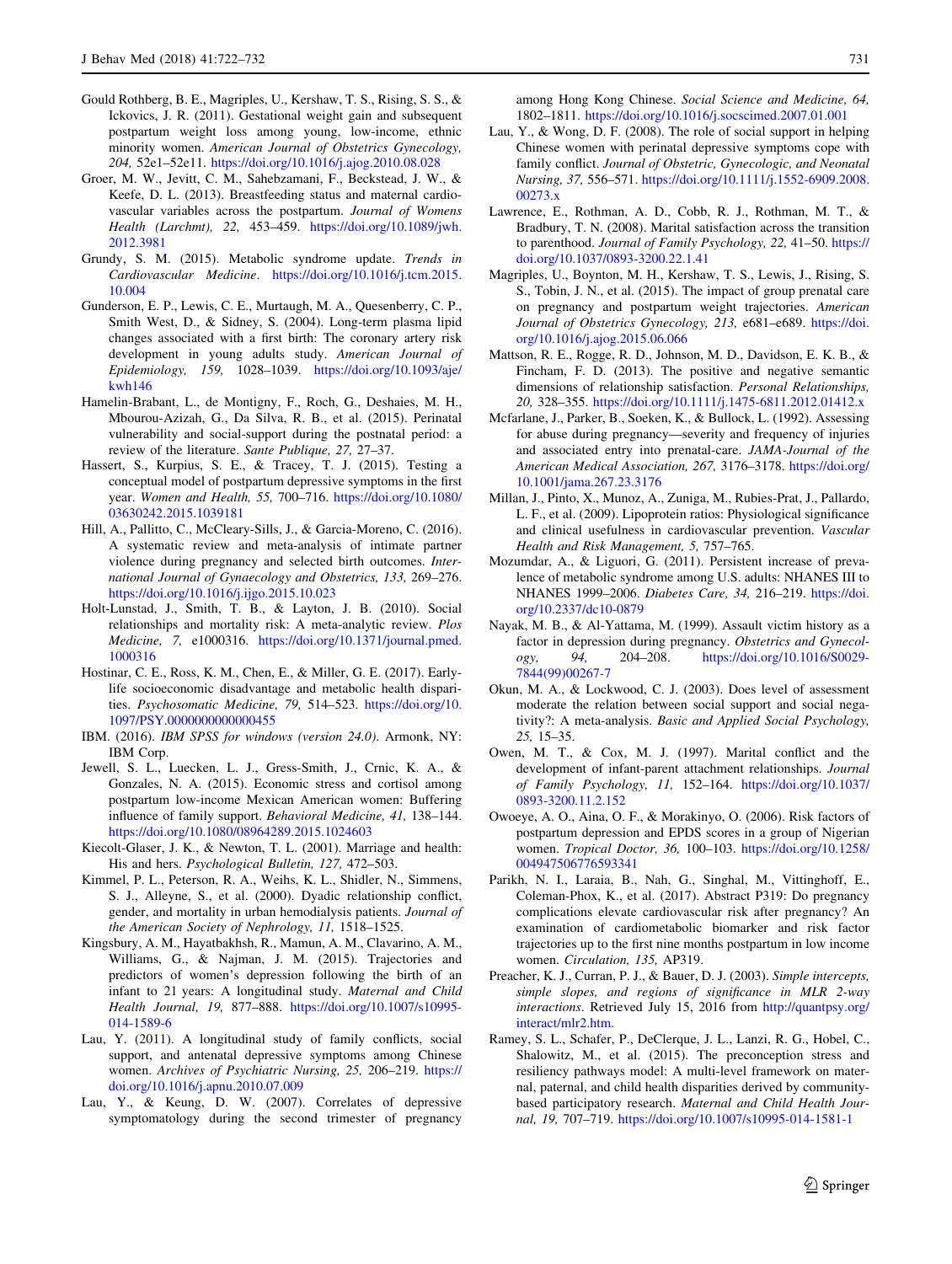- <span id="page-9-0"></span>Gould Rothberg, B. E., Magriples, U., Kershaw, T. S., Rising, S. S., & Ickovics, J. R. (2011). Gestational weight gain and subsequent postpartum weight loss among young, low-income, ethnic minority women. American Journal of Obstetrics Gynecology, 204, 52e1–52e11. <https://doi.org/10.1016/j.ajog.2010.08.028>
- Groer, M. W., Jevitt, C. M., Sahebzamani, F., Beckstead, J. W., & Keefe, D. L. (2013). Breastfeeding status and maternal cardiovascular variables across the postpartum. Journal of Womens Health (Larchmt), 22, 453–459. [https://doi.org/10.1089/jwh.](https://doi.org/10.1089/jwh.2012.3981) [2012.3981](https://doi.org/10.1089/jwh.2012.3981)
- Grundy, S. M. (2015). Metabolic syndrome update. Trends in Cardiovascular Medicine. [https://doi.org/10.1016/j.tcm.2015.](https://doi.org/10.1016/j.tcm.2015.10.004) [10.004](https://doi.org/10.1016/j.tcm.2015.10.004)
- Gunderson, E. P., Lewis, C. E., Murtaugh, M. A., Quesenberry, C. P., Smith West, D., & Sidney, S. (2004). Long-term plasma lipid changes associated with a first birth: The coronary artery risk development in young adults study. American Journal of Epidemiology, 159, 1028–1039. [https://doi.org/10.1093/aje/](https://doi.org/10.1093/aje/kwh146) [kwh146](https://doi.org/10.1093/aje/kwh146)
- Hamelin-Brabant, L., de Montigny, F., Roch, G., Deshaies, M. H., Mbourou-Azizah, G., Da Silva, R. B., et al. (2015). Perinatal vulnerability and social-support during the postnatal period: a review of the literature. Sante Publique, 27, 27–37.
- Hassert, S., Kurpius, S. E., & Tracey, T. J. (2015). Testing a conceptual model of postpartum depressive symptoms in the first year. Women and Health, 55, 700–716. [https://doi.org/10.1080/](https://doi.org/10.1080/03630242.2015.1039181) [03630242.2015.1039181](https://doi.org/10.1080/03630242.2015.1039181)
- Hill, A., Pallitto, C., McCleary-Sills, J., & Garcia-Moreno, C. (2016). A systematic review and meta-analysis of intimate partner violence during pregnancy and selected birth outcomes. International Journal of Gynaecology and Obstetrics, 133, 269–276. <https://doi.org/10.1016/j.ijgo.2015.10.023>
- Holt-Lunstad, J., Smith, T. B., & Layton, J. B. (2010). Social relationships and mortality risk: A meta-analytic review. Plos Medicine, 7, e1000316. [https://doi.org/10.1371/journal.pmed.](https://doi.org/10.1371/journal.pmed.1000316) [1000316](https://doi.org/10.1371/journal.pmed.1000316)
- Hostinar, C. E., Ross, K. M., Chen, E., & Miller, G. E. (2017). Earlylife socioeconomic disadvantage and metabolic health disparities. Psychosomatic Medicine, 79, 514–523. [https://doi.org/10.](https://doi.org/10.1097/PSY.0000000000000455) [1097/PSY.0000000000000455](https://doi.org/10.1097/PSY.0000000000000455)
- IBM. (2016). IBM SPSS for windows (version 24.0). Armonk, NY: IBM Corp.
- Jewell, S. L., Luecken, L. J., Gress-Smith, J., Crnic, K. A., & Gonzales, N. A. (2015). Economic stress and cortisol among postpartum low-income Mexican American women: Buffering influence of family support. Behavioral Medicine, 41, 138–144. <https://doi.org/10.1080/08964289.2015.1024603>
- Kiecolt-Glaser, J. K., & Newton, T. L. (2001). Marriage and health: His and hers. Psychological Bulletin, 127, 472–503.
- Kimmel, P. L., Peterson, R. A., Weihs, K. L., Shidler, N., Simmens, S. J., Alleyne, S., et al. (2000). Dyadic relationship conflict, gender, and mortality in urban hemodialysis patients. Journal of the American Society of Nephrology, 11, 1518–1525.
- Kingsbury, A. M., Hayatbakhsh, R., Mamun, A. M., Clavarino, A. M., Williams, G., & Najman, J. M. (2015). Trajectories and predictors of women's depression following the birth of an infant to 21 years: A longitudinal study. Maternal and Child Health Journal, 19, 877–888. [https://doi.org/10.1007/s10995-](https://doi.org/10.1007/s10995-014-1589-6) [014-1589-6](https://doi.org/10.1007/s10995-014-1589-6)
- Lau, Y. (2011). A longitudinal study of family conflicts, social support, and antenatal depressive symptoms among Chinese women. Archives of Psychiatric Nursing, 25, 206–219. [https://](https://doi.org/10.1016/j.apnu.2010.07.009) [doi.org/10.1016/j.apnu.2010.07.009](https://doi.org/10.1016/j.apnu.2010.07.009)
- Lau, Y., & Keung, D. W. (2007). Correlates of depressive symptomatology during the second trimester of pregnancy

among Hong Kong Chinese. Social Science and Medicine, 64, 1802–1811. <https://doi.org/10.1016/j.socscimed.2007.01.001>

- Lau, Y., & Wong, D. F. (2008). The role of social support in helping Chinese women with perinatal depressive symptoms cope with family conflict. Journal of Obstetric, Gynecologic, and Neonatal Nursing, 37, 556–571. [https://doi.org/10.1111/j.1552-6909.2008.](https://doi.org/10.1111/j.1552-6909.2008.00273.x) [00273.x](https://doi.org/10.1111/j.1552-6909.2008.00273.x)
- Lawrence, E., Rothman, A. D., Cobb, R. J., Rothman, M. T., & Bradbury, T. N. (2008). Marital satisfaction across the transition to parenthood. Journal of Family Psychology, 22, 41-50. [https://](https://doi.org/10.1037/0893-3200.22.1.41) [doi.org/10.1037/0893-3200.22.1.41](https://doi.org/10.1037/0893-3200.22.1.41)
- Magriples, U., Boynton, M. H., Kershaw, T. S., Lewis, J., Rising, S. S., Tobin, J. N., et al. (2015). The impact of group prenatal care on pregnancy and postpartum weight trajectories. American Journal of Obstetrics Gynecology, 213, e681–e689. [https://doi.](https://doi.org/10.1016/j.ajog.2015.06.066) [org/10.1016/j.ajog.2015.06.066](https://doi.org/10.1016/j.ajog.2015.06.066)
- Mattson, R. E., Rogge, R. D., Johnson, M. D., Davidson, E. K. B., & Fincham, F. D. (2013). The positive and negative semantic dimensions of relationship satisfaction. Personal Relationships, 20, 328–355. <https://doi.org/10.1111/j.1475-6811.2012.01412.x>
- Mcfarlane, J., Parker, B., Soeken, K., & Bullock, L. (1992). Assessing for abuse during pregnancy—severity and frequency of injuries and associated entry into prenatal-care. JAMA-Journal of the American Medical Association, 267, 3176–3178. [https://doi.org/](https://doi.org/10.1001/jama.267.23.3176) [10.1001/jama.267.23.3176](https://doi.org/10.1001/jama.267.23.3176)
- Millan, J., Pinto, X., Munoz, A., Zuniga, M., Rubies-Prat, J., Pallardo, L. F., et al. (2009). Lipoprotein ratios: Physiological significance and clinical usefulness in cardiovascular prevention. Vascular Health and Risk Management, 5, 757–765.
- Mozumdar, A., & Liguori, G. (2011). Persistent increase of prevalence of metabolic syndrome among U.S. adults: NHANES III to NHANES 1999–2006. Diabetes Care, 34, 216–219. [https://doi.](https://doi.org/10.2337/dc10-0879) [org/10.2337/dc10-0879](https://doi.org/10.2337/dc10-0879)
- Nayak, M. B., & Al-Yattama, M. (1999). Assault victim history as a factor in depression during pregnancy. Obstetrics and Gynecology, 94, 204–208. [https://doi.org/10.1016/S0029-](https://doi.org/10.1016/S0029-7844(99)00267-7) [7844\(99\)00267-7](https://doi.org/10.1016/S0029-7844(99)00267-7)
- Okun, M. A., & Lockwood, C. J. (2003). Does level of assessment moderate the relation between social support and social negativity?: A meta-analysis. Basic and Applied Social Psychology, 25, 15–35.
- Owen, M. T., & Cox, M. J. (1997). Marital conflict and the development of infant-parent attachment relationships. Journal of Family Psychology, 11, 152–164. [https://doi.org/10.1037/](https://doi.org/10.1037/0893-3200.11.2.152) [0893-3200.11.2.152](https://doi.org/10.1037/0893-3200.11.2.152)
- Owoeye, A. O., Aina, O. F., & Morakinyo, O. (2006). Risk factors of postpartum depression and EPDS scores in a group of Nigerian women. Tropical Doctor, 36, 100–103. [https://doi.org/10.1258/](https://doi.org/10.1258/004947506776593341) [004947506776593341](https://doi.org/10.1258/004947506776593341)
- Parikh, N. I., Laraia, B., Nah, G., Singhal, M., Vittinghoff, E., Coleman-Phox, K., et al. (2017). Abstract P319: Do pregnancy complications elevate cardiovascular risk after pregnancy? An examination of cardiometabolic biomarker and risk factor trajectories up to the first nine months postpartum in low income women. Circulation, 135, AP319.
- Preacher, K. J., Curran, P. J., & Bauer, D. J. (2003). Simple intercepts, simple slopes, and regions of significance in MLR 2-way interactions. Retrieved July 15, 2016 from [http://quantpsy.org/](http://quantpsy.org/interact/mlr2.htm) [interact/mlr2.htm.](http://quantpsy.org/interact/mlr2.htm)
- Ramey, S. L., Schafer, P., DeClerque, J. L., Lanzi, R. G., Hobel, C., Shalowitz, M., et al. (2015). The preconception stress and resiliency pathways model: A multi-level framework on maternal, paternal, and child health disparities derived by communitybased participatory research. Maternal and Child Health Journal, 19, 707–719. <https://doi.org/10.1007/s10995-014-1581-1>